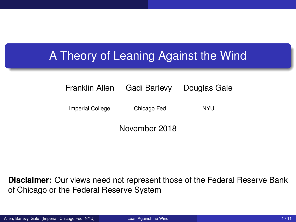## <span id="page-0-0"></span>A Theory of Leaning Against the Wind

#### Franklin Allen Gadi Barlevy Douglas Gale

Imperial College Chicago Fed NYU

November 2018

**Disclaimer:** Our views need not represent those of the Federal Reserve Bank of Chicago or the Federal Reserve System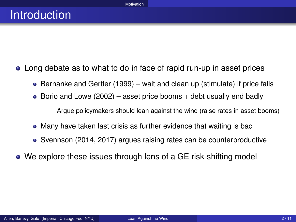- <span id="page-1-0"></span>Long debate as to what to do in face of rapid run-up in asset prices
	- $\bullet$  Bernanke and Gertler (1999) wait and clean up (stimulate) if price falls
	- Borio and Lowe (2002) asset price booms  $+$  debt usually end badly

Argue policymakers should lean against the wind (raise rates in asset booms)

- Many have taken last crisis as further evidence that waiting is bad
- Svennson (2014, 2017) argues raising rates can be counterproductive
- We explore these issues through lens of a GE risk-shifting model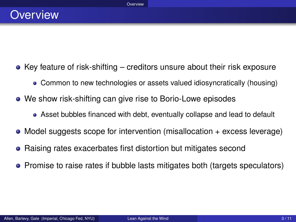- <span id="page-2-0"></span> $\bullet$  Key feature of risk-shifting – creditors unsure about their risk exposure
	- Common to new technologies or assets valued idiosyncratically (housing)
- We show risk-shifting can give rise to Borio-Lowe episodes
	- Asset bubbles financed with debt, eventually collapse and lead to default
- $\bullet$  Model suggests scope for intervention (misallocation  $+$  excess leverage)
- **•** Raising rates exacerbates first distortion but mitigates second
- Promise to raise rates if bubble lasts mitigates both (targets speculators)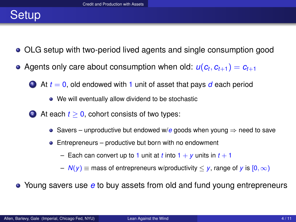# <span id="page-3-0"></span>**Setup**

- OLG setup with two-period lived agents and single consumption good
- Agents only care about consumption when old:  $u(c_t, c_{t+1}) = c_{t+1}$

 $\bullet$  At  $t = 0$ , old endowed with 1 unit of asset that pays  $d$  each period

- We will eventually allow dividend to be stochastic
- 2 At each  $t \geq 0$ , cohort consists of two types:
	- Savers unproductive but endowed w/*e* goods when young ⇒ need to save
	- Entrepreneurs productive but born with no endowment
		- $-$  Each can convert up to 1 unit at *t* into  $1 + y$  units in  $t + 1$

 $-N(y)$  = mass of entrepreneurs w/productivity  $\lt y$ , range of y is  $[0,\infty)$ 

Young savers use *e* to buy assets from old and fund young entrepreneurs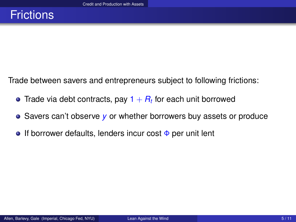<span id="page-4-0"></span>Trade between savers and entrepreneurs subject to following frictions:

- Trade via debt contracts, pay 1  $+$   $R_t$  for each unit borrowed
- Savers can't observe y or whether borrowers buy assets or produce
- **If borrower defaults, lenders incur cost**  $\Phi$  **per unit lent**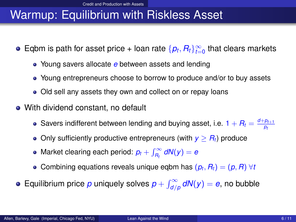# <span id="page-5-0"></span>Warmup: Equilibrium with Riskless Asset

- Eqbm is path for asset price + loan rate  $\{p_t, R_t\}_{t=0}^\infty$  that clears markets
	- Young savers allocate *e* between assets and lending
	- Young entrepreneurs choose to borrow to produce and/or to buy assets
	- Old sell any assets they own and collect on or repay loans
- With dividend constant, no default
	- Savers indifferent between lending and buying asset, i.e.  $1+R_t=\frac{d+p_{t+1}}{p_t}$
	- Only sufficiently productive entrepreneurs (with  $y > R_t$ ) produce
	- Market clearing each period:  $p_t + \int_{R_t}^{\infty} dN(y) = e$
	- Combining equations reveals unique eqbm has  $(p_t, R_t) = (p, R) \ \forall t$
- Equilibrium price  $p$  uniquely solves  $p + \int_{d/p}^{\infty} dN(y) = e$ , no bubble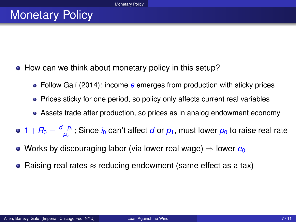### <span id="page-6-0"></span>**Monetary Policy**

- How can we think about monetary policy in this setup?
	- Follow Galí (2014): income *e* emerges from production with sticky prices
	- Prices sticky for one period, so policy only affects current real variables
	- Assets trade after production, so prices as in analog endowment economy
- $1+R_0=\frac{d+p_1}{p_0}$ ; Since  $i_0$  can't affect *d* or  $p_1$ , must lower  $p_0$  to raise real rate
- Works by discouraging labor (via lower real wage) ⇒ lower *e*<sub>0</sub>
- Raising real rates  $\approx$  reducing endowment (same effect as a tax)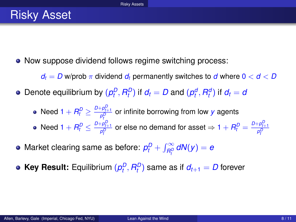<span id="page-7-0"></span>• Now suppose dividend follows regime switching process:

 $d_t = D$  w/prob  $\pi$  dividend  $d_t$  permanently switches to *d* where  $0 < d < D$ 

- Denote equilibrium by  $(\rho_t^D, R_t^D)$  if  $d_t = D$  and  $(\rho_t^d, R_t^d)$  if  $d_t = d_t^D$ 
	- Need 1 +  $R_t^D \geq \frac{D+p_{t+1}^D}{p_t^D}$  or infinite borrowing from low *y* agents *t* Need 1 +  $R_t^D \leq \frac{D + \rho_{t+1}^D}{\rho_t^D}$  or else no demand for asset ⇒ 1 +  $R_t^D = \frac{D + \rho_{t+1}^D}{\rho_t^D}$ *t t*
- $M$ arket clearing same as before:  $p_t^D + \int_{R_t^D}^{\infty} dN(y) = e^{i\omega t}$ *t*
- **Key Result:** Equilibrium  $(\rho_t^D, R_t^D)$  same as if  $d_{t+1} = D$  forever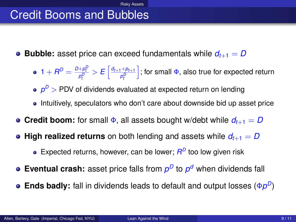# <span id="page-8-0"></span>Credit Booms and Bubbles

- **Bubble:** asset price can exceed fundamentals while  $d_{t+1} = D$ 
	- $1 + R^D = \frac{D + p_t^D}{p_t^D} > E\left[\frac{d_{t+1} + p_{t+1}}{p_t^D}\right]$ ; for small  $\Phi$ , also true for expected return *t t*
	- $\rho^{\scriptscriptstyle D}$  > PDV of dividends evaluated at expected return on lending
	- Intuitively, speculators who don't care about downside bid up asset price
- **Credit boom:** for small  $\Phi$ , all assets bought w/debt while  $d_{t+1} = D$
- High realized returns on both lending and assets while  $d_{t+1} = D$ 
	- Expected returns, however, can be lower;  $R^D$  too low given risk
- **Eventual crash:** asset price falls from  $p^D$  to  $p^d$  when dividends fall
- **Ends badly:** fall in dividends leads to default and output losses (Φ $p^D$ )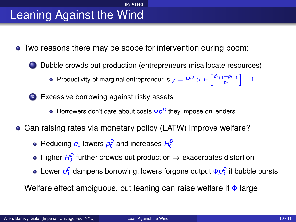# <span id="page-9-0"></span>Leaning Against the Wind

- Two reasons there may be scope for intervention during boom:
	- <sup>1</sup> Bubble crowds out production (entrepreneurs misallocate resources)

Productivity of marginal entrepreneur is  $y = R^D > E\left[\frac{d_{t+1} + p_{t+1}}{p_t}\right] - 1$ 

2 Excessive borrowing against risky assets

- Borrowers don't care about costs  $\Phi \rho^D$  they impose on lenders
- Can raising rates via monetary policy (LATW) improve welfare?
	- Reducing  $e_0$  lowers  $p_0^D$  and increases  $R_0^D$
	- Higher  $R_0^D$  further crowds out production  $\Rightarrow$  exacerbates distortion
	- Lower  $\rho_0^D$  dampens borrowing, lowers forgone output Φ $\rho_0^D$  if bubble bursts

Welfare effect ambiguous, but leaning can raise welfare if  $\Phi$  large